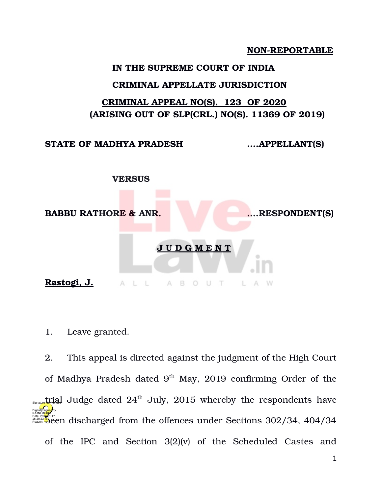**NON-REPORTABLE** 

## **IN THE SUPREME COURT OF INDIA**

## **CRIMINAL APPELLATE JURISDICTION**

## **CRIMINAL APPEAL NO(S). 123 OF 2020 (ARISING OUT OF SLP(CRL.) NO(S). 11369 OF 2019)**

**STATE OF MADHYA PRADESH ….APPELLANT(S)**



1. Leave granted.

2. This appeal is directed against the judgment of the High Court of Madhya Pradesh dated 9<sup>th</sup> May, 2019 confirming Order of the  $t_{\text{Sylate}}$  Judge dated  $24^{\text{th}}$  July,  $2015$  whereby the respondents have **beeg 223 by the 177 consults** from the offences under Sections 302/34, 404/34 of the IPC and Section 3(2)(v) of the Scheduled Castes and Digitally signed by RAJNI M<mark>UKH</mark>I Reason: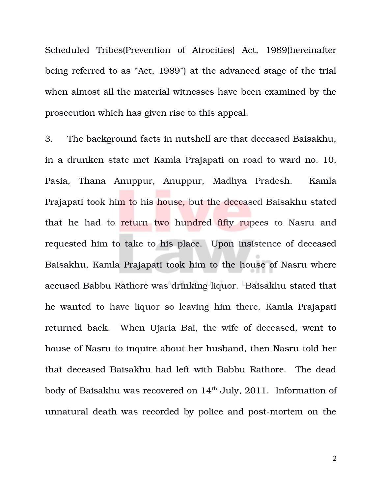Scheduled Tribes(Prevention of Atrocities) Act, 1989(hereinafter being referred to as "Act, 1989") at the advanced stage of the trial when almost all the material witnesses have been examined by the prosecution which has given rise to this appeal.

3. The background facts in nutshell are that deceased Baisakhu, in a drunken state met Kamla Prajapati on road to ward no. 10, Pasia, Thana Anuppur, Anuppur, Madhya Pradesh. Kamla Prajapati took him to his house, but the deceased Baisakhu stated that he had to return two hundred fifty rupees to Nasru and requested him to take to his place. Upon insistence of deceased Baisakhu, Kamla Prajapati took him to the house of Nasru where accused Babbu Rathore was drinking liquor. Baisakhu stated that he wanted to have liquor so leaving him there, Kamla Prajapati returned back. When Ujaria Bai, the wife of deceased, went to house of Nasru to inquire about her husband, then Nasru told her that deceased Baisakhu had left with Babbu Rathore. The dead body of Baisakhu was recovered on  $14<sup>th</sup>$  July, 2011. Information of unnatural death was recorded by police and post-mortem on the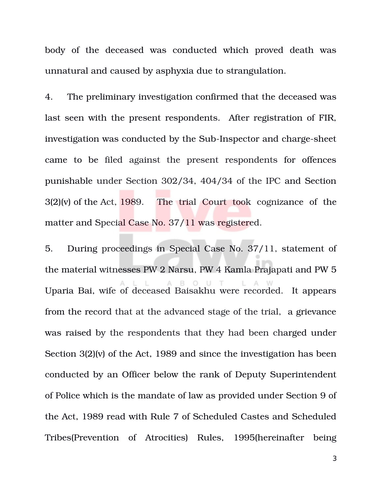body of the deceased was conducted which proved death was unnatural and caused by asphyxia due to strangulation.

4. The preliminary investigation confirmed that the deceased was last seen with the present respondents. After registration of FIR, investigation was conducted by the Sub-Inspector and charge-sheet came to be filed against the present respondents for offences punishable under Section 302/34, 404/34 of the IPC and Section  $3(2)(v)$  of the Act, 1989. The trial Court took cognizance of the matter and Special Case No. 37/11 was registered.

5. During proceedings in Special Case No. 37/11, statement of the material witnesses PW 2 Narsu, PW 4 Kamla Prajapati and PW 5 A B O U  $T$ L Uparia Bai, wife of deceased Baisakhu were recorded. It appears from the record that at the advanced stage of the trial, a grievance was raised by the respondents that they had been charged under Section 3(2)(v) of the Act, 1989 and since the investigation has been conducted by an Officer below the rank of Deputy Superintendent of Police which is the mandate of law as provided under Section 9 of the Act, 1989 read with Rule 7 of Scheduled Castes and Scheduled Tribes(Prevention of Atrocities) Rules, 1995(hereinafter being

3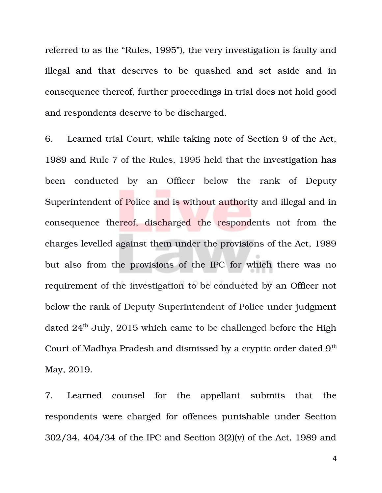referred to as the "Rules, 1995"), the very investigation is faulty and illegal and that deserves to be quashed and set aside and in consequence thereof, further proceedings in trial does not hold good and respondents deserve to be discharged.

6. Learned trial Court, while taking note of Section 9 of the Act, 1989 and Rule 7 of the Rules, 1995 held that the investigation has been conducted by an Officer below the rank of Deputy Superintendent of Police and is without authority and illegal and in consequence thereof, discharged the respondents not from the charges levelled against them under the provisions of the Act, 1989 but also from the provisions of the IPC for which there was no requirement of the investigation to be conducted by an Officer not below the rank of Deputy Superintendent of Police under judgment dated  $24<sup>th</sup>$  July, 2015 which came to be challenged before the High Court of Madhya Pradesh and dismissed by a cryptic order dated 9<sup>th</sup> May, 2019.

7. Learned counsel for the appellant submits that the respondents were charged for offences punishable under Section 302/34, 404/34 of the IPC and Section 3(2)(v) of the Act, 1989 and

4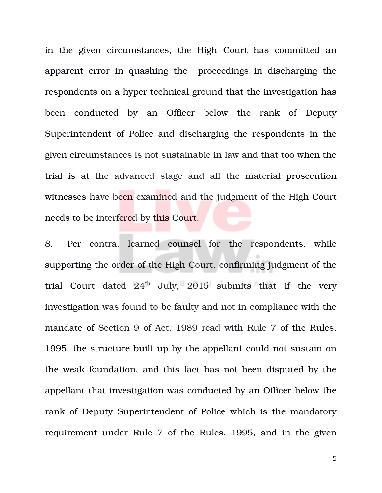in the given circumstances, the High Court has committed an apparent error in quashing the proceedings in discharging the respondents on a hyper technical ground that the investigation has been conducted by an Officer below the rank of Deputy Superintendent of Police and discharging the respondents in the given circumstances is not sustainable in law and that too when the trial is at the advanced stage and all the material prosecution witnesses have been examined and the judgment of the High Court needs to be interfered by this Court.

8. Per contra, learned counsel for the respondents, while supporting the order of the High Court, confirming judgment of the trial Court dated  $24<sup>th</sup>$  July,  $2015$  submits that if the very investigation was found to be faulty and not in compliance with the mandate of Section 9 of Act, 1989 read with Rule 7 of the Rules, 1995, the structure built up by the appellant could not sustain on the weak foundation, and this fact has not been disputed by the appellant that investigation was conducted by an Officer below the rank of Deputy Superintendent of Police which is the mandatory requirement under Rule 7 of the Rules, 1995, and in the given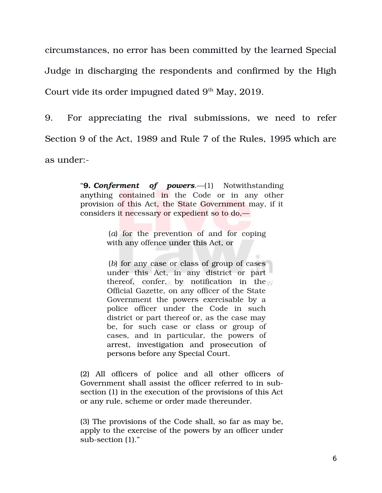circumstances, no error has been committed by the learned Special Judge in discharging the respondents and confirmed by the High Court vide its order impugned dated  $9<sup>th</sup>$  May, 2019.

9. For appreciating the rival submissions, we need to refer Section 9 of the Act, 1989 and Rule 7 of the Rules, 1995 which are as under:

> "**9.** *Conferment of powers*.—(1) Notwithstanding anything contained in the Code or in any other provision of this Act, the State Government may, if it considers it necessary or expedient so to do,—

> > (*a*) for the prevention of and for coping with any offence under this Act, or

(*b*) for any case or class of group of cases under this Act, in any district or part thereof, confer, by notification in the  $\mathbb N$ Official Gazette, on any officer of the State Government the powers exercisable by a police officer under the Code in such district or part thereof or, as the case may be, for such case or class or group of cases, and in particular, the powers of arrest, investigation and prosecution of persons before any Special Court.

(2) All officers of police and all other officers of Government shall assist the officer referred to in subsection (1) in the execution of the provisions of this Act or any rule, scheme or order made thereunder.

(3) The provisions of the Code shall, so far as may be, apply to the exercise of the powers by an officer under sub-section (1)."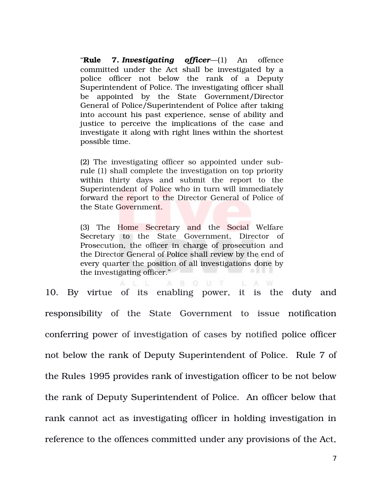"**Rule 7.** *Investigating officer*—(1) An offence committed under the Act shall be investigated by a police officer not below the rank of a Deputy Superintendent of Police. The investigating officer shall be appointed by the State Government/Director General of Police/Superintendent of Police after taking into account his past experience, sense of ability and justice to perceive the implications of the case and investigate it along with right lines within the shortest possible time.

(2) The investigating officer so appointed under subrule (1) shall complete the investigation on top priority within thirty days and submit the report to the Superintendent of Police who in turn will immediately forward the report to the Director General of Police of the State Government.

(3) The Home Secretary and the Social Welfare Secretary to the State Government, Director of Prosecution, the officer in charge of prosecution and the Director General of Police shall review by the end of every quarter the position of all investigations done by the investigating officer."

B O U T

L A W

A

10. By virtue of its enabling power, it is the duty and responsibility of the State Government to issue notification conferring power of investigation of cases by notified police officer not below the rank of Deputy Superintendent of Police. Rule 7 of the Rules 1995 provides rank of investigation officer to be not below the rank of Deputy Superintendent of Police. An officer below that rank cannot act as investigating officer in holding investigation in reference to the offences committed under any provisions of the Act,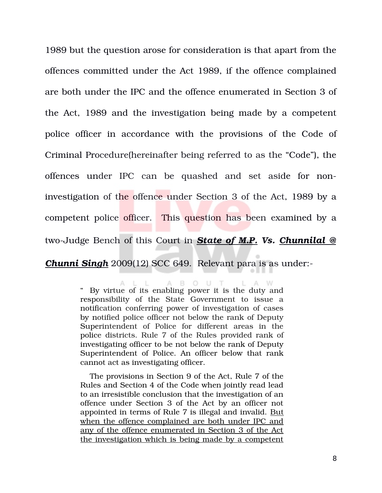1989 but the question arose for consideration is that apart from the offences committed under the Act 1989, if the offence complained are both under the IPC and the offence enumerated in Section 3 of the Act, 1989 and the investigation being made by a competent police officer in accordance with the provisions of the Code of Criminal Procedure(hereinafter being referred to as the "Code"), the offences under IPC can be quashed and set aside for noninvestigation of the offence under Section 3 of the Act, 1989 by a competent police officer. This question has been examined by a two-Judge Bench of this Court in **State of M.P. Vs. Chunnilal @** 

*Chunni Singh* 2009(12) SCC 649. Relevant para is as under:

ALL ABOUT LAW " By virtue of its enabling power it is the duty and responsibility of the State Government to issue a notification conferring power of investigation of cases by notified police officer not below the rank of Deputy Superintendent of Police for different areas in the police districts. Rule 7 of the Rules provided rank of investigating officer to be not below the rank of Deputy Superintendent of Police. An officer below that rank cannot act as investigating officer.

The provisions in Section 9 of the Act, Rule 7 of the Rules and Section 4 of the Code when jointly read lead to an irresistible conclusion that the investigation of an offence under Section 3 of the Act by an officer not appointed in terms of Rule 7 is illegal and invalid. But when the offence complained are both under IPC and any of the offence enumerated in Section 3 of the Act the investigation which is being made by a competent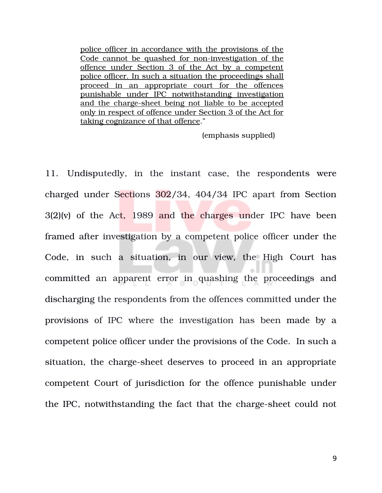police officer in accordance with the provisions of the Code cannot be quashed for non-investigation of the offence under Section 3 of the Act by a competent police officer. In such a situation the proceedings shall proceed in an appropriate court for the offences punishable under IPC notwithstanding investigation and the charge-sheet being not liable to be accepted only in respect of offence under Section 3 of the Act for taking cognizance of that offence."

(emphasis supplied)

11. Undisputedly, in the instant case, the respondents were charged under Sections 302/34, 404/34 IPC apart from Section  $3(2)(v)$  of the Act, 1989 and the charges under IPC have been framed after investigation by a competent police officer under the Code, in such a situation, in our view, the High Court has committed an apparent error in quashing the proceedings and discharging the respondents from the offences committed under the provisions of IPC where the investigation has been made by a competent police officer under the provisions of the Code. In such a situation, the charge-sheet deserves to proceed in an appropriate competent Court of jurisdiction for the offence punishable under the IPC, notwithstanding the fact that the charge-sheet could not